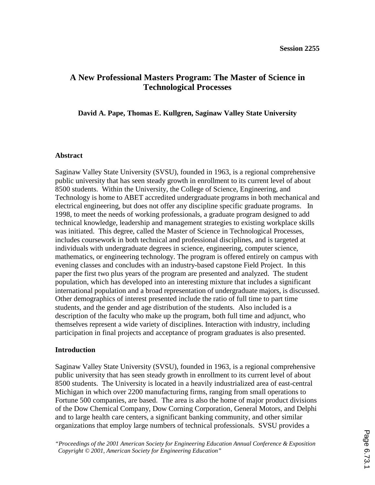# **A New Professional Masters Program: The Master of Science in Technological Processes**

## **David A. Pape, Thomas E. Kullgren, Saginaw Valley State University**

### **Abstract**

Saginaw Valley State University (SVSU), founded in 1963, is a regional comprehensive public university that has seen steady growth in enrollment to its current level of about 8500 students. Within the University, the College of Science, Engineering, and Technology is home to ABET accredited undergraduate programs in both mechanical and electrical engineering, but does not offer any discipline specific graduate programs. In 1998, to meet the needs of working professionals, a graduate program designed to add technical knowledge, leadership and management strategies to existing workplace skills was initiated. This degree, called the Master of Science in Technological Processes, includes coursework in both technical and professional disciplines, and is targeted at individuals with undergraduate degrees in science, engineering, computer science, mathematics, or engineering technology. The program is offered entirely on campus with evening classes and concludes with an industry-based capstone Field Project. In this paper the first two plus years of the program are presented and analyzed. The student population, which has developed into an interesting mixture that includes a significant international population and a broad representation of undergraduate majors, is discussed. Other demographics of interest presented include the ratio of full time to part time students, and the gender and age distribution of the students. Also included is a description of the faculty who make up the program, both full time and adjunct, who themselves represent a wide variety of disciplines. Interaction with industry, including participation in final projects and acceptance of program graduates is also presented.

### **Introduction**

Saginaw Valley State University (SVSU), founded in 1963, is a regional comprehensive public university that has seen steady growth in enrollment to its current level of about 8500 students. The University is located in a heavily industrialized area of east-central Michigan in which over 2200 manufacturing firms, ranging from small operations to Fortune 500 companies, are based. The area is also the home of major product divisions of the Dow Chemical Company, Dow Corning Corporation, General Motors, and Delphi and to large health care centers, a significant banking community, and other similar organizations that employ large numbers of technical professionals. SVSU provides a

*"Proceedings of the 2001 American Society for Engineering Education Annual Conference & Exposition Copyright © 2001, American Society for Engineering Education"*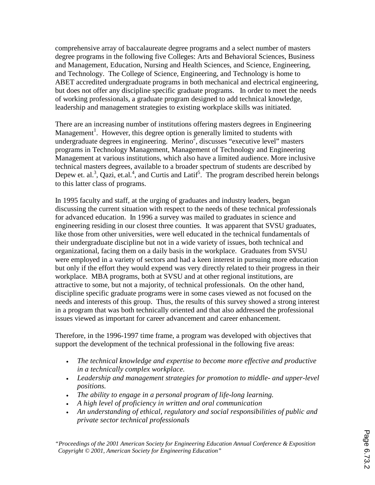comprehensive array of baccalaureate degree programs and a select number of masters degree programs in the following five Colleges: Arts and Behavioral Sciences, Business and Management, Education, Nursing and Health Sciences, and Science, Engineering, and Technology. The College of Science, Engineering, and Technology is home to ABET accredited undergraduate programs in both mechanical and electrical engineering, but does not offer any discipline specific graduate programs. In order to meet the needs of working professionals, a graduate program designed to add technical knowledge, leadership and management strategies to existing workplace skills was initiated.

There are an increasing number of institutions offering masters degrees in Engineering Management<sup>1</sup>. However, this degree option is generally limited to students with undergraduate degrees in engineering. Merino<sup>2</sup>, discusses "executive level" masters programs in Technology Management, Management of Technology and Engineering Management at various institutions, which also have a limited audience. More inclusive technical masters degrees, available to a broader spectrum of students are described by Depew et. al.<sup>3</sup>, Qazi, et.al.<sup>4</sup>, and Curtis and Latif<sup>5</sup>. The program described herein belongs to this latter class of programs.

In 1995 faculty and staff, at the urging of graduates and industry leaders, began discussing the current situation with respect to the needs of these technical professionals for advanced education. In 1996 a survey was mailed to graduates in science and engineering residing in our closest three counties. It was apparent that SVSU graduates, like those from other universities, were well educated in the technical fundamentals of their undergraduate discipline but not in a wide variety of issues, both technical and organizational, facing them on a daily basis in the workplace. Graduates from SVSU were employed in a variety of sectors and had a keen interest in pursuing more education but only if the effort they would expend was very directly related to their progress in their workplace. MBA programs, both at SVSU and at other regional institutions, are attractive to some, but not a majority, of technical professionals. On the other hand, discipline specific graduate programs were in some cases viewed as not focused on the needs and interests of this group. Thus, the results of this survey showed a strong interest in a program that was both technically oriented and that also addressed the professional issues viewed as important for career advancement and career enhancement.

Therefore, in the 1996-1997 time frame, a program was developed with objectives that support the development of the technical professional in the following five areas:

- *The technical knowledge and expertise to become more effective and productive in a technically complex workplace.*
- *Leadership and management strategies for promotion to middle- and upper-level positions.*
- *The ability to engage in a personal program of life-long learning.*
- *A high level of proficiency in written and oral communication*
- *An understanding of ethical, regulatory and social responsibilities of public and private sector technical professionals*

*"Proceedings of the 2001 American Society for Engineering Education Annual Conference & Exposition Copyright © 2001, American Society for Engineering Education"*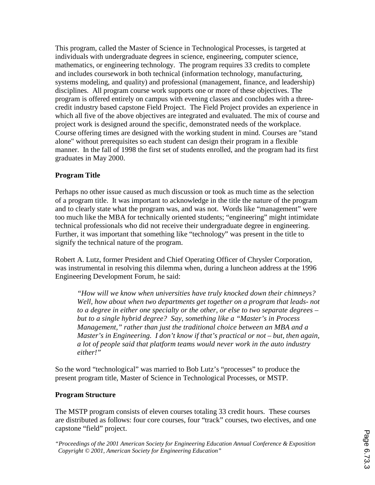This program, called the Master of Science in Technological Processes, is targeted at individuals with undergraduate degrees in science, engineering, computer science, mathematics, or engineering technology. The program requires 33 credits to complete and includes coursework in both technical (information technology, manufacturing, systems modeling, and quality) and professional (management, finance, and leadership) disciplines. All program course work supports one or more of these objectives. The program is offered entirely on campus with evening classes and concludes with a threecredit industry based capstone Field Project. The Field Project provides an experience in which all five of the above objectives are integrated and evaluated. The mix of course and project work is designed around the specific, demonstrated needs of the workplace. Course offering times are designed with the working student in mind. Courses are "stand alone" without prerequisites so each student can design their program in a flexible manner. In the fall of 1998 the first set of students enrolled, and the program had its first graduates in May 2000.

# **Program Title**

Perhaps no other issue caused as much discussion or took as much time as the selection of a program title. It was important to acknowledge in the title the nature of the program and to clearly state what the program was, and was not. Words like "management" were too much like the MBA for technically oriented students; "engineering" might intimidate technical professionals who did not receive their undergraduate degree in engineering. Further, it was important that something like "technology" was present in the title to signify the technical nature of the program.

Robert A. Lutz, former President and Chief Operating Officer of Chrysler Corporation, was instrumental in resolving this dilemma when, during a luncheon address at the 1996 Engineering Development Forum, he said:

*"How will we know when universities have truly knocked down their chimneys? Well, how about when two departments get together on a program that leads- not to a degree in either one specialty or the other, or else to two separate degrees – but to a single hybrid degree? Say, something like a "Master's in Process Management," rather than just the traditional choice between an MBA and a Master's in Engineering. I don't know if that's practical or not – but, then again, a lot of people said that platform teams would never work in the auto industry either!"*

So the word "technological" was married to Bob Lutz's "processes" to produce the present program title, Master of Science in Technological Processes, or MSTP.

## **Program Structure**

The MSTP program consists of eleven courses totaling 33 credit hours. These courses are distributed as follows: four core courses, four "track" courses, two electives, and one capstone "field" project.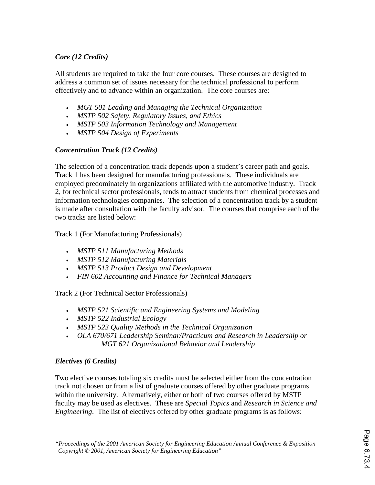# *Core (12 Credits)*

All students are required to take the four core courses. These courses are designed to address a common set of issues necessary for the technical professional to perform effectively and to advance within an organization. The core courses are:

- *MGT 501 Leading and Managing the Technical Organization*
- *MSTP 502 Safety, Regulatory Issues, and Ethics*
- *MSTP 503 Information Technology and Management*
- *MSTP 504 Design of Experiments*

# *Concentration Track (12 Credits)*

The selection of a concentration track depends upon a student's career path and goals. Track 1 has been designed for manufacturing professionals. These individuals are employed predominately in organizations affiliated with the automotive industry. Track 2, for technical sector professionals, tends to attract students from chemical processes and information technologies companies. The selection of a concentration track by a student is made after consultation with the faculty advisor. The courses that comprise each of the two tracks are listed below:

Track 1 (For Manufacturing Professionals)

- *MSTP 511 Manufacturing Methods*
- *MSTP 512 Manufacturing Materials*
- *MSTP 513 Product Design and Development*
- *FIN 602 Accounting and Finance for Technical Managers*

Track 2 (For Technical Sector Professionals)

- *MSTP 521 Scientific and Engineering Systems and Modeling*
- *MSTP 522 Industrial Ecology*
- *MSTP 523 Quality Methods in the Technical Organization*
- *OLA 670/671 Leadership Seminar/Practicum and Research in Leadership or MGT 621 Organizational Behavior and Leadership*

# *Electives (6 Credits)*

Two elective courses totaling six credits must be selected either from the concentration track not chosen or from a list of graduate courses offered by other graduate programs within the university. Alternatively, either or both of two courses offered by MSTP faculty may be used as electives. These are *Special Topics* and *Research in Science and Engineering*. The list of electives offered by other graduate programs is as follows: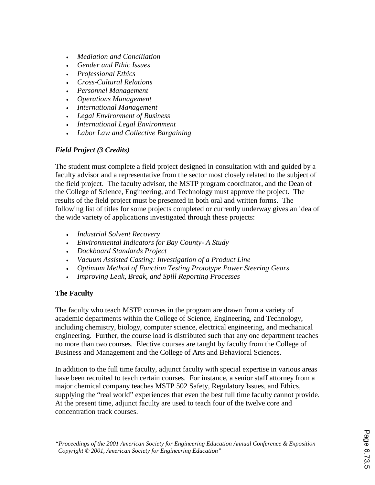- *Mediation and Conciliation*
- *Gender and Ethic Issues*
- *Professional Ethics*
- *Cross-Cultural Relations*
- *Personnel Management*
- *Operations Management*
- *International Management*
- *Legal Environment of Business*
- *International Legal Environment*
- *Labor Law and Collective Bargaining*

# *Field Project (3 Credits)*

The student must complete a field project designed in consultation with and guided by a faculty advisor and a representative from the sector most closely related to the subject of the field project. The faculty advisor, the MSTP program coordinator, and the Dean of the College of Science, Engineering, and Technology must approve the project. The results of the field project must be presented in both oral and written forms. The following list of titles for some projects completed or currently underway gives an idea of the wide variety of applications investigated through these projects:

- *Industrial Solvent Recovery*
- *Environmental Indicators for Bay County- A Study*
- *Dockboard Standards Project*
- *Vacuum Assisted Casting: Investigation of a Product Line*
- *Optimum Method of Function Testing Prototype Power Steering Gears*
- *Improving Leak, Break, and Spill Reporting Processes*

# **The Faculty**

The faculty who teach MSTP courses in the program are drawn from a variety of academic departments within the College of Science, Engineering, and Technology, including chemistry, biology, computer science, electrical engineering, and mechanical engineering. Further, the course load is distributed such that any one department teaches no more than two courses. Elective courses are taught by faculty from the College of Business and Management and the College of Arts and Behavioral Sciences.

In addition to the full time faculty, adjunct faculty with special expertise in various areas have been recruited to teach certain courses. For instance, a senior staff attorney from a major chemical company teaches MSTP 502 Safety, Regulatory Issues, and Ethics, supplying the "real world" experiences that even the best full time faculty cannot provide. At the present time, adjunct faculty are used to teach four of the twelve core and concentration track courses.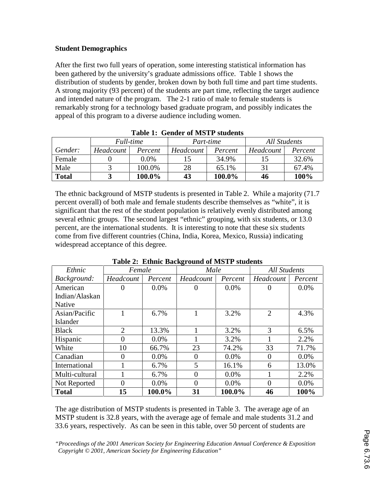## **Student Demographics**

After the first two full years of operation, some interesting statistical information has been gathered by the university's graduate admissions office. Table 1 shows the distribution of students by gender, broken down by both full time and part time students. A strong majority (93 percent) of the students are part time, reflecting the target audience and intended nature of the program. The 2-1 ratio of male to female students is remarkably strong for a technology based graduate program, and possibly indicates the appeal of this program to a diverse audience including women.

| AWNAV AT UJVANJUA VA MAN AA DUWWULIO |           |         |           |         |              |         |
|--------------------------------------|-----------|---------|-----------|---------|--------------|---------|
|                                      | Full-time |         | Part-time |         | All Students |         |
| Gender:                              | Headcount | Percent | Headcount | Percent | Headcount    | Percent |
| Female                               |           | 0.0%    |           | 34.9%   |              | 32.6%   |
| Male                                 |           | 100.0%  | 28        | 65.1%   | 31           | 67.4%   |
| <b>Total</b>                         |           | 100.0%  | 43        | 100.0%  | 46           | 100%    |

**Table 1: Gender of MSTP students** 

The ethnic background of MSTP students is presented in Table 2. While a majority (71.7 percent overall) of both male and female students describe themselves as "white", it is significant that the rest of the student population is relatively evenly distributed among several ethnic groups. The second largest "ethnic" grouping, with six students, or 13.0 percent, are the international students. It is interesting to note that these six students come from five different countries (China, India, Korea, Mexico, Russia) indicating widespread acceptance of this degree.

| Ethnic         | Female         |         | Male           |         | <b>All Students</b> |         |
|----------------|----------------|---------|----------------|---------|---------------------|---------|
| Background:    | Headcount      | Percent | Headcount      | Percent | Headcount           | Percent |
| American       | 0              | $0.0\%$ | 0              | 0.0%    | $\theta$            | $0.0\%$ |
| Indian/Alaskan |                |         |                |         |                     |         |
| Native         |                |         |                |         |                     |         |
| Asian/Pacific  |                | 6.7%    |                | 3.2%    | $\overline{2}$      | 4.3%    |
| Islander       |                |         |                |         |                     |         |
| <b>Black</b>   | $\overline{2}$ | 13.3%   |                | 3.2%    | 3                   | 6.5%    |
| Hispanic       | 0              | 0.0%    |                | 3.2%    |                     | 2.2%    |
| White          | 10             | 66.7%   | 23             | 74.2%   | 33                  | 71.7%   |
| Canadian       | 0              | $0.0\%$ | $\Omega$       | 0.0%    | $\Omega$            | 0.0%    |
| International  |                | 6.7%    | 5              | 16.1%   | 6                   | 13.0%   |
| Multi-cultural |                | 6.7%    | $\Omega$       | 0.0%    |                     | 2.2%    |
| Not Reported   | 0              | $0.0\%$ | $\overline{0}$ | 0.0%    | $\overline{0}$      | 0.0%    |
| <b>Total</b>   | 15             | 100.0%  | 31             | 100.0%  | 46                  | 100%    |

**Table 2: Ethnic Background of MSTP students** 

The age distribution of MSTP students is presented in Table 3. The average age of an MSTP student is 32.8 years, with the average age of female and male students 31.2 and 33.6 years, respectively. As can be seen in this table, over 50 percent of students are

*"Proceedings of the 2001 American Society for Engineering Education Annual Conference & Exposition Copyright © 2001, American Society for Engineering Education"*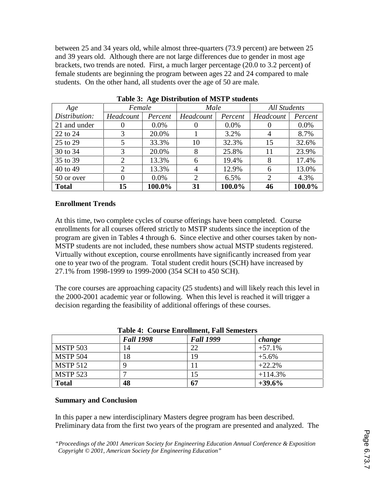between 25 and 34 years old, while almost three-quarters (73.9 percent) are between 25 and 39 years old. Although there are not large differences due to gender in most age brackets, two trends are noted. First, a much larger percentage (20.0 to 3.2 percent) of female students are beginning the program between ages 22 and 24 compared to male students. On the other hand, all students over the age of 50 are male.

| Age           | 0<br>Female           |         | Male      |         | <b>All Students</b> |         |
|---------------|-----------------------|---------|-----------|---------|---------------------|---------|
| Distribution: | Headcount             | Percent | Headcount | Percent | Headcount           | Percent |
| 21 and under  | O                     | $0.0\%$ |           | $0.0\%$ | $\theta$            | $0.0\%$ |
| 22 to 24      | 3                     | 20.0%   |           | 3.2%    | $\overline{4}$      | 8.7%    |
| 25 to 29      |                       | 33.3%   | 10        | 32.3%   | 15                  | 32.6%   |
| 30 to 34      | 3                     | 20.0%   | 8         | 25.8%   | 11                  | 23.9%   |
| 35 to 39      | $\mathcal{D}_{\cdot}$ | 13.3%   | 6         | 19.4%   | 8                   | 17.4%   |
| 40 to 49      | 2                     | 13.3%   | 4         | 12.9%   | 6                   | 13.0%   |
| 50 or over    | 0                     | $0.0\%$ | 2         | 6.5%    | $\overline{2}$      | 4.3%    |
| <b>Total</b>  | 15                    | 100.0%  | 31        | 100.0%  | 46                  | 100.0%  |

**Table 3: Age Distribution of MSTP students** 

# **Enrollment Trends**

At this time, two complete cycles of course offerings have been completed. Course enrollments for all courses offered strictly to MSTP students since the inception of the program are given in Tables 4 through 6. Since elective and other courses taken by non-MSTP students are not included, these numbers show actual MSTP students registered. Virtually without exception, course enrollments have significantly increased from year one to year two of the program. Total student credit hours (SCH) have increased by 27.1% from 1998-1999 to 1999-2000 (354 SCH to 450 SCH).

The core courses are approaching capacity (25 students) and will likely reach this level in the 2000-2001 academic year or following. When this level is reached it will trigger a decision regarding the feasibility of additional offerings of these courses.

| Table 4: Course Enrollment, Fall Semesters |                  |                  |           |  |
|--------------------------------------------|------------------|------------------|-----------|--|
|                                            | <b>Fall 1998</b> | <b>Fall 1999</b> | change    |  |
| <b>MSTP 503</b>                            | 14               | 22               | $+57.1%$  |  |
| <b>MSTP 504</b>                            | 18               | 19               | $+5.6\%$  |  |
| <b>MSTP 512</b>                            |                  | 11               | $+22.2%$  |  |
| <b>MSTP 523</b>                            |                  | 15               | $+114.3%$ |  |
| <b>Total</b>                               | 48               | 67               | $+39.6%$  |  |

# **Table 4: Course Enrollment, Fall Semesters**

## **Summary and Conclusion**

In this paper a new interdisciplinary Masters degree program has been described. Preliminary data from the first two years of the program are presented and analyzed. The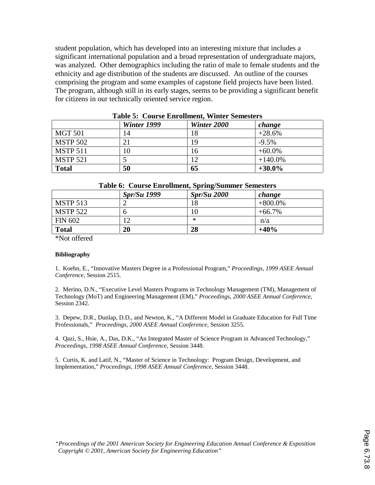student population, which has developed into an interesting mixture that includes a significant international population and a broad representation of undergraduate majors, was analyzed. Other demographics including the ratio of male to female students and the ethnicity and age distribution of the students are discussed. An outline of the courses comprising the program and some examples of capstone field projects have been listed. The program, although still in its early stages, seems to be providing a significant benefit for citizens in our technically oriented service region.

| Tunic C. Courte Mill Gillieir, Hiller Demonder |             |             |            |  |  |
|------------------------------------------------|-------------|-------------|------------|--|--|
|                                                | Winter 1999 | Winter 2000 | change     |  |  |
| <b>MGT 501</b>                                 | 14          | 18          | $+28.6%$   |  |  |
| <b>MSTP 502</b>                                | 21          | 19          | $-9.5\%$   |  |  |
| <b>MSTP 511</b>                                | 10          | 16          | $+60.0\%$  |  |  |
| <b>MSTP 521</b>                                |             | 12          | $+140.0\%$ |  |  |
| <b>Total</b>                                   | 50          | 65          | $+30.0\%$  |  |  |

**Table 5: Course Enrollment, Winter Semesters** 

### **Table 6: Course Enrollment, Spring/Summer Semesters**

|                 | <b>Spr/Su 1999</b> | Spr/Su 2000 | change     |
|-----------------|--------------------|-------------|------------|
| <b>MSTP 513</b> |                    | 18          | $+800.0\%$ |
| <b>MSTP 522</b> | O                  | 10          | $+66.7\%$  |
| <b>FIN 602</b>  | 12                 | ∗           | n/a        |
| <b>Total</b>    | 20                 | 28          | $+40%$     |

\*Not offered

### **Bibliography**

1. Koehn, E., "Innovative Masters Degree in a Professional Program," *Proceedings*, *1999 ASEE Annual Conference*, Session 2515.

2. Merino, D.N., "Executive Level Masters Programs in Technology Management (TM), Management of Technology (MoT) and Engineering Management (EM)," *Proceedings*, *2000 ASEE Annual Conference*, Session 2342.

3. Depew, D.R., Dunlap, D.D., and Newton, K., "A Different Model in Graduate Education for Full Time Professionals," *Proceedings*, *2000 ASEE Annual Conference*, Session 3255.

4. Qazi, S., Hsie, A., Das, D.K., "An Integrated Master of Science Program in Advanced Technology," *Proceedings*, *1998 ASEE Annual Conference*, Session 3448.

5. Curtis, K. and Latif, N., "Master of Science in Technology: Program Design, Development, and Implementation," *Proceedings*, *1998 ASEE Annual Conference*, Session 3448.